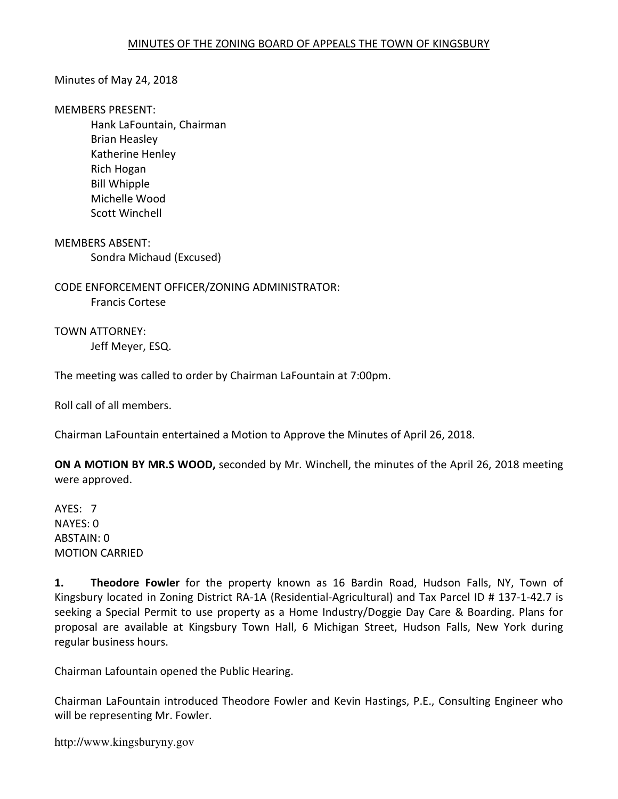#### Minutes of May 24, 2018

#### MEMBERS PRESENT:

 Hank LaFountain, Chairman Brian Heasley Katherine Henley Rich Hogan Bill Whipple Michelle Wood Scott Winchell

MEMBERS ABSENT: Sondra Michaud (Excused)

CODE ENFORCEMENT OFFICER/ZONING ADMINISTRATOR: Francis Cortese

TOWN ATTORNEY: Jeff Meyer, ESQ.

The meeting was called to order by Chairman LaFountain at 7:00pm.

Roll call of all members.

Chairman LaFountain entertained a Motion to Approve the Minutes of April 26, 2018.

ON A MOTION BY MR.S WOOD, seconded by Mr. Winchell, the minutes of the April 26, 2018 meeting were approved.

AYES: 7 NAYES: 0 ABSTAIN: 0 MOTION CARRIED

1. Theodore Fowler for the property known as 16 Bardin Road, Hudson Falls, NY, Town of Kingsbury located in Zoning District RA-1A (Residential-Agricultural) and Tax Parcel ID # 137-1-42.7 is seeking a Special Permit to use property as a Home Industry/Doggie Day Care & Boarding. Plans for proposal are available at Kingsbury Town Hall, 6 Michigan Street, Hudson Falls, New York during regular business hours.

Chairman Lafountain opened the Public Hearing.

Chairman LaFountain introduced Theodore Fowler and Kevin Hastings, P.E., Consulting Engineer who will be representing Mr. Fowler.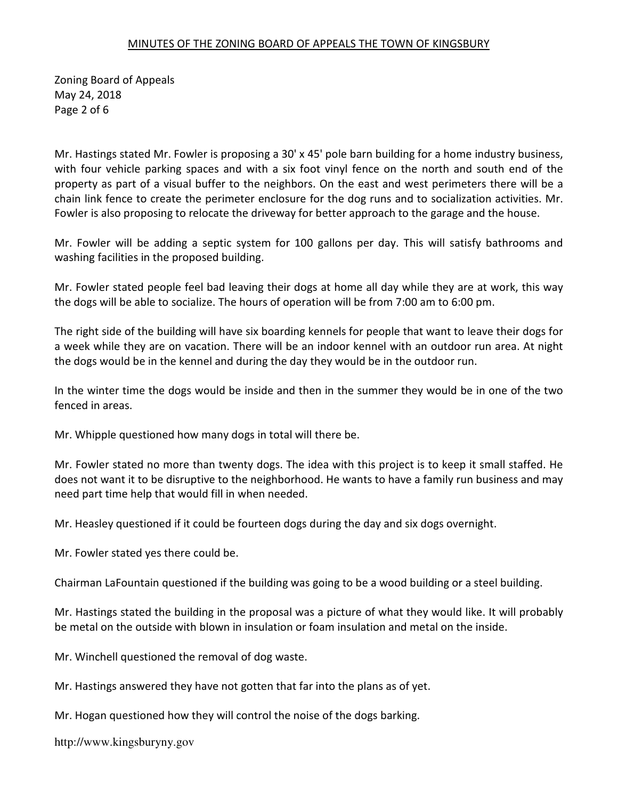Zoning Board of Appeals May 24, 2018 Page 2 of 6

Mr. Hastings stated Mr. Fowler is proposing a 30' x 45' pole barn building for a home industry business, with four vehicle parking spaces and with a six foot vinyl fence on the north and south end of the property as part of a visual buffer to the neighbors. On the east and west perimeters there will be a chain link fence to create the perimeter enclosure for the dog runs and to socialization activities. Mr. Fowler is also proposing to relocate the driveway for better approach to the garage and the house.

Mr. Fowler will be adding a septic system for 100 gallons per day. This will satisfy bathrooms and washing facilities in the proposed building.

Mr. Fowler stated people feel bad leaving their dogs at home all day while they are at work, this way the dogs will be able to socialize. The hours of operation will be from 7:00 am to 6:00 pm.

The right side of the building will have six boarding kennels for people that want to leave their dogs for a week while they are on vacation. There will be an indoor kennel with an outdoor run area. At night the dogs would be in the kennel and during the day they would be in the outdoor run.

In the winter time the dogs would be inside and then in the summer they would be in one of the two fenced in areas.

Mr. Whipple questioned how many dogs in total will there be.

Mr. Fowler stated no more than twenty dogs. The idea with this project is to keep it small staffed. He does not want it to be disruptive to the neighborhood. He wants to have a family run business and may need part time help that would fill in when needed.

Mr. Heasley questioned if it could be fourteen dogs during the day and six dogs overnight.

Mr. Fowler stated yes there could be.

Chairman LaFountain questioned if the building was going to be a wood building or a steel building.

Mr. Hastings stated the building in the proposal was a picture of what they would like. It will probably be metal on the outside with blown in insulation or foam insulation and metal on the inside.

Mr. Winchell questioned the removal of dog waste.

Mr. Hastings answered they have not gotten that far into the plans as of yet.

Mr. Hogan questioned how they will control the noise of the dogs barking.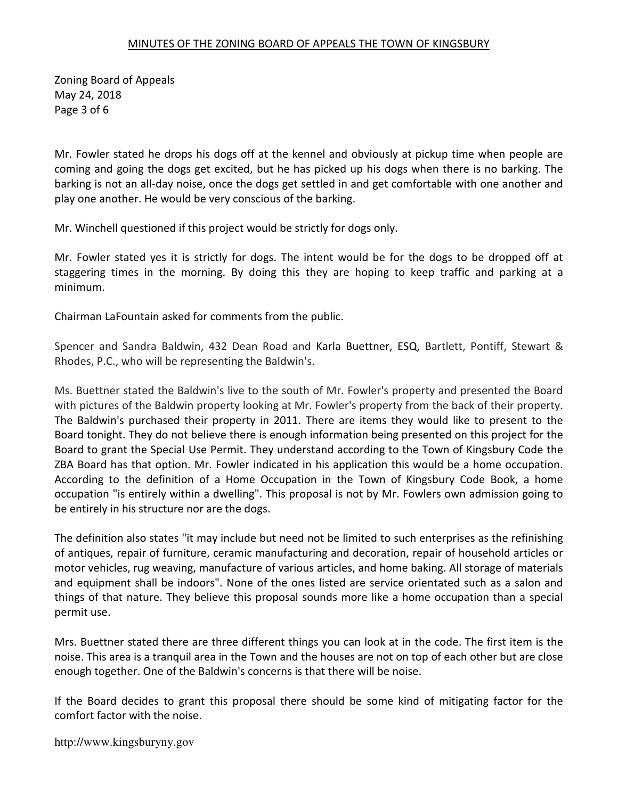Zoning Board of Appeals May 24, 2018 Page 3 of 6

Mr. Fowler stated he drops his dogs off at the kennel and obviously at pickup time when people are coming and going the dogs get excited, but he has picked up his dogs when there is no barking. The barking is not an all-day noise, once the dogs get settled in and get comfortable with one another and play one another. He would be very conscious of the barking.

Mr. Winchell questioned if this project would be strictly for dogs only.

Mr. Fowler stated yes it is strictly for dogs. The intent would be for the dogs to be dropped off at staggering times in the morning. By doing this they are hoping to keep traffic and parking at a minimum.

Chairman LaFountain asked for comments from the public.

Spencer and Sandra Baldwin, 432 Dean Road and Karla Buettner, ESQ, Bartlett, Pontiff, Stewart & Rhodes, P.C., who will be representing the Baldwin's.

Ms. Buettner stated the Baldwin's live to the south of Mr. Fowler's property and presented the Board with pictures of the Baldwin property looking at Mr. Fowler's property from the back of their property. The Baldwin's purchased their property in 2011. There are items they would like to present to the Board tonight. They do not believe there is enough information being presented on this project for the Board to grant the Special Use Permit. They understand according to the Town of Kingsbury Code the ZBA Board has that option. Mr. Fowler indicated in his application this would be a home occupation. According to the definition of a Home Occupation in the Town of Kingsbury Code Book, a home occupation "is entirely within a dwelling". This proposal is not by Mr. Fowlers own admission going to be entirely in his structure nor are the dogs.

The definition also states "it may include but need not be limited to such enterprises as the refinishing of antiques, repair of furniture, ceramic manufacturing and decoration, repair of household articles or motor vehicles, rug weaving, manufacture of various articles, and home baking. All storage of materials and equipment shall be indoors". None of the ones listed are service orientated such as a salon and things of that nature. They believe this proposal sounds more like a home occupation than a special permit use.

Mrs. Buettner stated there are three different things you can look at in the code. The first item is the noise. This area is a tranquil area in the Town and the houses are not on top of each other but are close enough together. One of the Baldwin's concerns is that there will be noise.

If the Board decides to grant this proposal there should be some kind of mitigating factor for the comfort factor with the noise.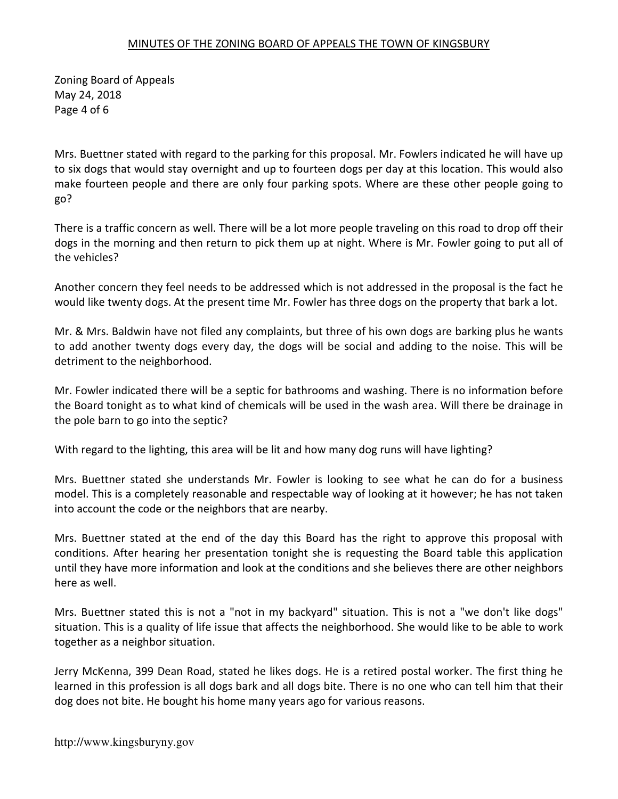Zoning Board of Appeals May 24, 2018 Page 4 of 6

Mrs. Buettner stated with regard to the parking for this proposal. Mr. Fowlers indicated he will have up to six dogs that would stay overnight and up to fourteen dogs per day at this location. This would also make fourteen people and there are only four parking spots. Where are these other people going to go?

There is a traffic concern as well. There will be a lot more people traveling on this road to drop off their dogs in the morning and then return to pick them up at night. Where is Mr. Fowler going to put all of the vehicles?

Another concern they feel needs to be addressed which is not addressed in the proposal is the fact he would like twenty dogs. At the present time Mr. Fowler has three dogs on the property that bark a lot.

Mr. & Mrs. Baldwin have not filed any complaints, but three of his own dogs are barking plus he wants to add another twenty dogs every day, the dogs will be social and adding to the noise. This will be detriment to the neighborhood.

Mr. Fowler indicated there will be a septic for bathrooms and washing. There is no information before the Board tonight as to what kind of chemicals will be used in the wash area. Will there be drainage in the pole barn to go into the septic?

With regard to the lighting, this area will be lit and how many dog runs will have lighting?

Mrs. Buettner stated she understands Mr. Fowler is looking to see what he can do for a business model. This is a completely reasonable and respectable way of looking at it however; he has not taken into account the code or the neighbors that are nearby.

Mrs. Buettner stated at the end of the day this Board has the right to approve this proposal with conditions. After hearing her presentation tonight she is requesting the Board table this application until they have more information and look at the conditions and she believes there are other neighbors here as well.

Mrs. Buettner stated this is not a "not in my backyard" situation. This is not a "we don't like dogs" situation. This is a quality of life issue that affects the neighborhood. She would like to be able to work together as a neighbor situation.

Jerry McKenna, 399 Dean Road, stated he likes dogs. He is a retired postal worker. The first thing he learned in this profession is all dogs bark and all dogs bite. There is no one who can tell him that their dog does not bite. He bought his home many years ago for various reasons.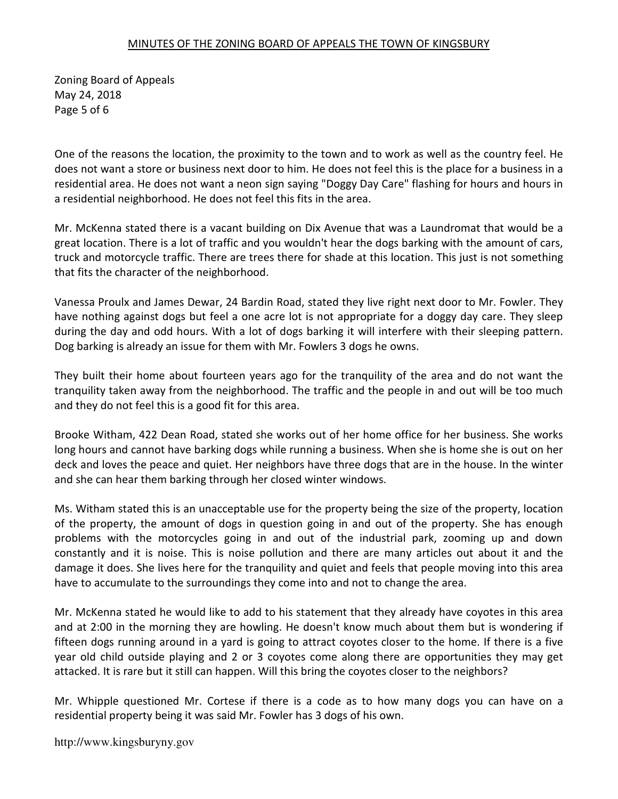Zoning Board of Appeals May 24, 2018 Page 5 of 6

One of the reasons the location, the proximity to the town and to work as well as the country feel. He does not want a store or business next door to him. He does not feel this is the place for a business in a residential area. He does not want a neon sign saying "Doggy Day Care" flashing for hours and hours in a residential neighborhood. He does not feel this fits in the area.

Mr. McKenna stated there is a vacant building on Dix Avenue that was a Laundromat that would be a great location. There is a lot of traffic and you wouldn't hear the dogs barking with the amount of cars, truck and motorcycle traffic. There are trees there for shade at this location. This just is not something that fits the character of the neighborhood.

Vanessa Proulx and James Dewar, 24 Bardin Road, stated they live right next door to Mr. Fowler. They have nothing against dogs but feel a one acre lot is not appropriate for a doggy day care. They sleep during the day and odd hours. With a lot of dogs barking it will interfere with their sleeping pattern. Dog barking is already an issue for them with Mr. Fowlers 3 dogs he owns.

They built their home about fourteen years ago for the tranquility of the area and do not want the tranquility taken away from the neighborhood. The traffic and the people in and out will be too much and they do not feel this is a good fit for this area.

Brooke Witham, 422 Dean Road, stated she works out of her home office for her business. She works long hours and cannot have barking dogs while running a business. When she is home she is out on her deck and loves the peace and quiet. Her neighbors have three dogs that are in the house. In the winter and she can hear them barking through her closed winter windows.

Ms. Witham stated this is an unacceptable use for the property being the size of the property, location of the property, the amount of dogs in question going in and out of the property. She has enough problems with the motorcycles going in and out of the industrial park, zooming up and down constantly and it is noise. This is noise pollution and there are many articles out about it and the damage it does. She lives here for the tranquility and quiet and feels that people moving into this area have to accumulate to the surroundings they come into and not to change the area.

Mr. McKenna stated he would like to add to his statement that they already have coyotes in this area and at 2:00 in the morning they are howling. He doesn't know much about them but is wondering if fifteen dogs running around in a yard is going to attract coyotes closer to the home. If there is a five year old child outside playing and 2 or 3 coyotes come along there are opportunities they may get attacked. It is rare but it still can happen. Will this bring the coyotes closer to the neighbors?

Mr. Whipple questioned Mr. Cortese if there is a code as to how many dogs you can have on a residential property being it was said Mr. Fowler has 3 dogs of his own.